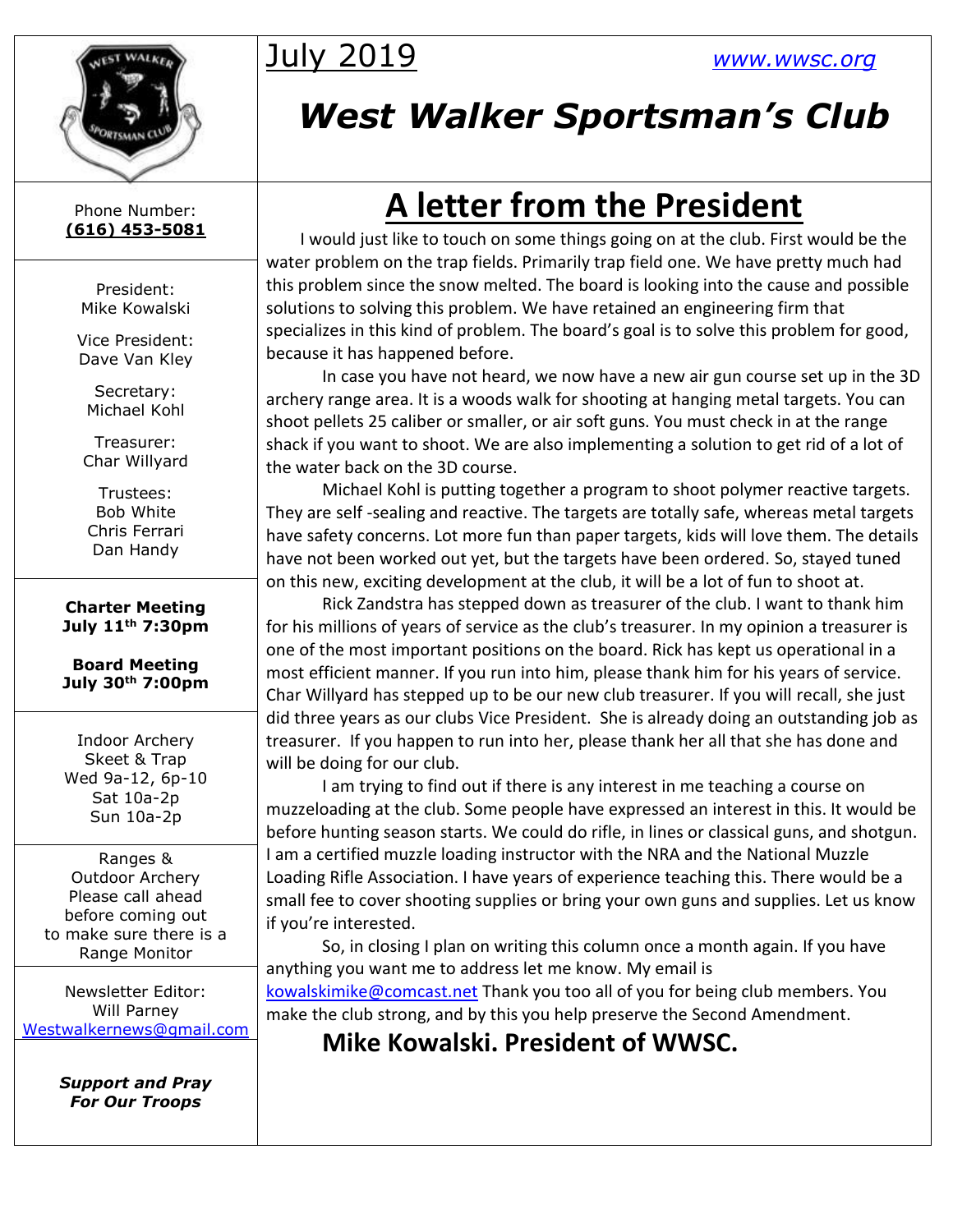

# July 2019 *[www.wwsc.org](http://www.wwsc.org/)*

# *West Walker Sportsman's Club*

Phone Number: **(616) 453-5081**

> President: Mike Kowalski

Vice President: Dave Van Kley

Secretary: Michael Kohl

Treasurer: Char Willyard

Trustees: Bob White Chris Ferrari Dan Handy

**Charter Meeting July 11th 7:30pm**

**Board Meeting July 30th 7:00pm**

Indoor Archery Skeet & Trap Wed 9a-12, 6p-10 Sat 10a-2p Sun 10a-2p

Ranges & Outdoor Archery Please call ahead before coming out to make sure there is a Range Monitor

Newsletter Editor: Will Parney [Westwalkernews@gmail.com](mailto:Westwalkernews@gmail.com)

> *Support and Pray For Our Troops*

# **A letter from the President**

 I would just like to touch on some things going on at the club. First would be the water problem on the trap fields. Primarily trap field one. We have pretty much had this problem since the snow melted. The board is looking into the cause and possible solutions to solving this problem. We have retained an engineering firm that specializes in this kind of problem. The board's goal is to solve this problem for good, because it has happened before.

In case you have not heard, we now have a new air gun course set up in the 3D archery range area. It is a woods walk for shooting at hanging metal targets. You can shoot pellets 25 caliber or smaller, or air soft guns. You must check in at the range shack if you want to shoot. We are also implementing a solution to get rid of a lot of the water back on the 3D course.

Michael Kohl is putting together a program to shoot polymer reactive targets. They are self -sealing and reactive. The targets are totally safe, whereas metal targets have safety concerns. Lot more fun than paper targets, kids will love them. The details have not been worked out yet, but the targets have been ordered. So, stayed tuned on this new, exciting development at the club, it will be a lot of fun to shoot at.

Rick Zandstra has stepped down as treasurer of the club. I want to thank him for his millions of years of service as the club's treasurer. In my opinion a treasurer is one of the most important positions on the board. Rick has kept us operational in a most efficient manner. If you run into him, please thank him for his years of service. Char Willyard has stepped up to be our new club treasurer. If you will recall, she just did three years as our clubs Vice President. She is already doing an outstanding job as treasurer. If you happen to run into her, please thank her all that she has done and will be doing for our club.

I am trying to find out if there is any interest in me teaching a course on muzzeloading at the club. Some people have expressed an interest in this. It would be before hunting season starts. We could do rifle, in lines or classical guns, and shotgun. I am a certified muzzle loading instructor with the NRA and the National Muzzle Loading Rifle Association. I have years of experience teaching this. There would be a small fee to cover shooting supplies or bring your own guns and supplies. Let us know if you're interested.

So, in closing I plan on writing this column once a month again. If you have anything you want me to address let me know. My email is [kowalskimike@comcast.net](mailto:kowalskimike@comcast.net) Thank you too all of you for being club members. You

make the club strong, and by this you help preserve the Second Amendment.

**Mike Kowalski. President of WWSC.**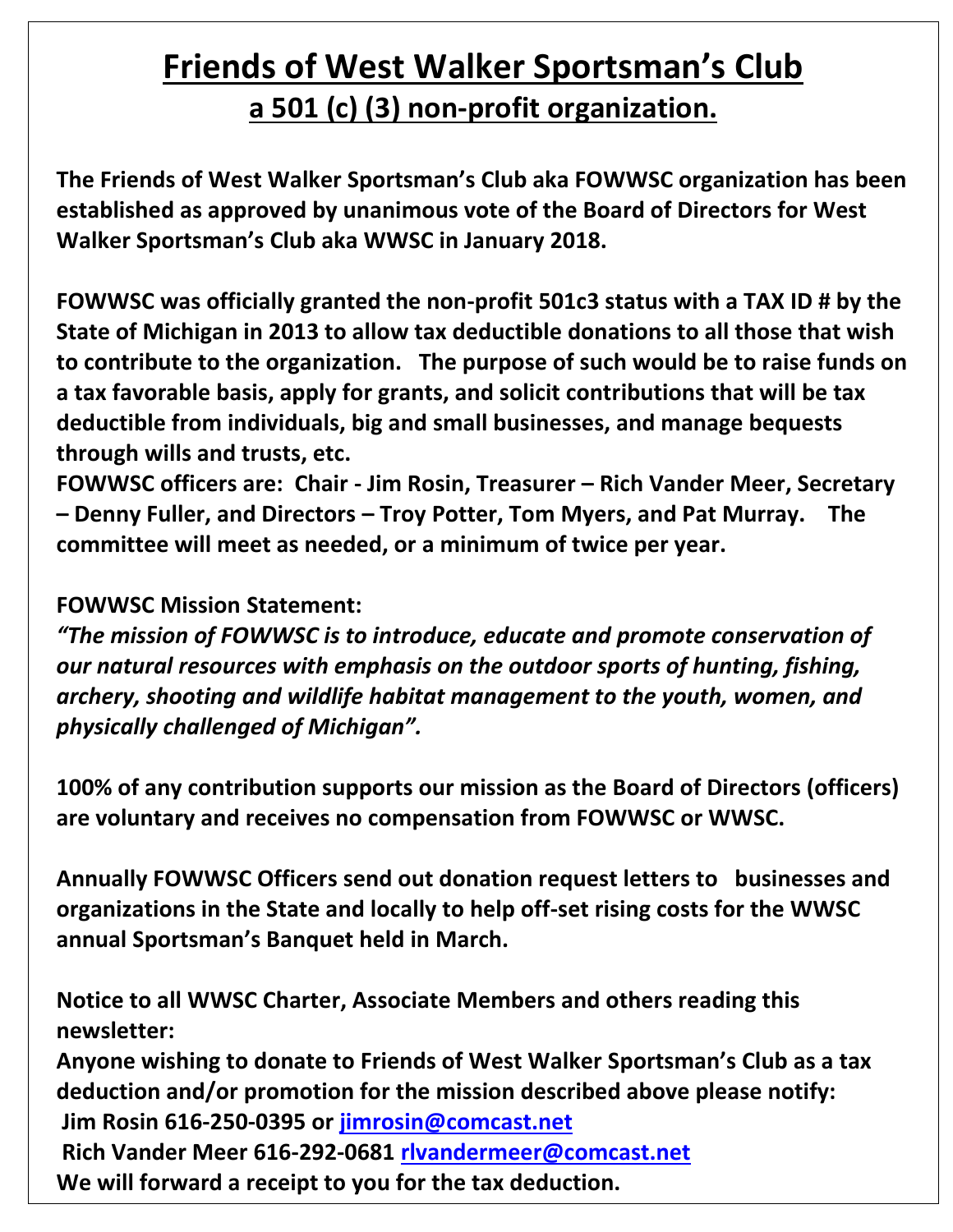### **Friends of West Walker Sportsman's Club a 501 (c) (3) non-profit organization.**

**The Friends of West Walker Sportsman's Club aka FOWWSC organization has been established as approved by unanimous vote of the Board of Directors for West Walker Sportsman's Club aka WWSC in January 2018.** 

**FOWWSC was officially granted the non-profit 501c3 status with a TAX ID # by the State of Michigan in 2013 to allow tax deductible donations to all those that wish to contribute to the organization. The purpose of such would be to raise funds on a tax favorable basis, apply for grants, and solicit contributions that will be tax deductible from individuals, big and small businesses, and manage bequests through wills and trusts, etc.**

**FOWWSC officers are: Chair - Jim Rosin, Treasurer – Rich Vander Meer, Secretary – Denny Fuller, and Directors – Troy Potter, Tom Myers, and Pat Murray. The committee will meet as needed, or a minimum of twice per year.** 

### **FOWWSC Mission Statement:**

*"The mission of FOWWSC is to introduce, educate and promote conservation of our natural resources with emphasis on the outdoor sports of hunting, fishing, archery, shooting and wildlife habitat management to the youth, women, and physically challenged of Michigan".*

**100% of any contribution supports our mission as the Board of Directors (officers) are voluntary and receives no compensation from FOWWSC or WWSC.**

**Annually FOWWSC Officers send out donation request letters to businesses and organizations in the State and locally to help off-set rising costs for the WWSC annual Sportsman's Banquet held in March.** 

**Notice to all WWSC Charter, Associate Members and others reading this newsletter:**

**Anyone wishing to donate to Friends of West Walker Sportsman's Club as a tax deduction and/or promotion for the mission described above please notify: Jim Rosin 616-250-0395 or [jimrosin@comcast.net](mailto:jimrosin@comcast.net) Rich Vander Meer 616-292-0681 [rlvandermeer@comcast.net](mailto:rlvandermeer@comcast.net)**

**We will forward a receipt to you for the tax deduction.**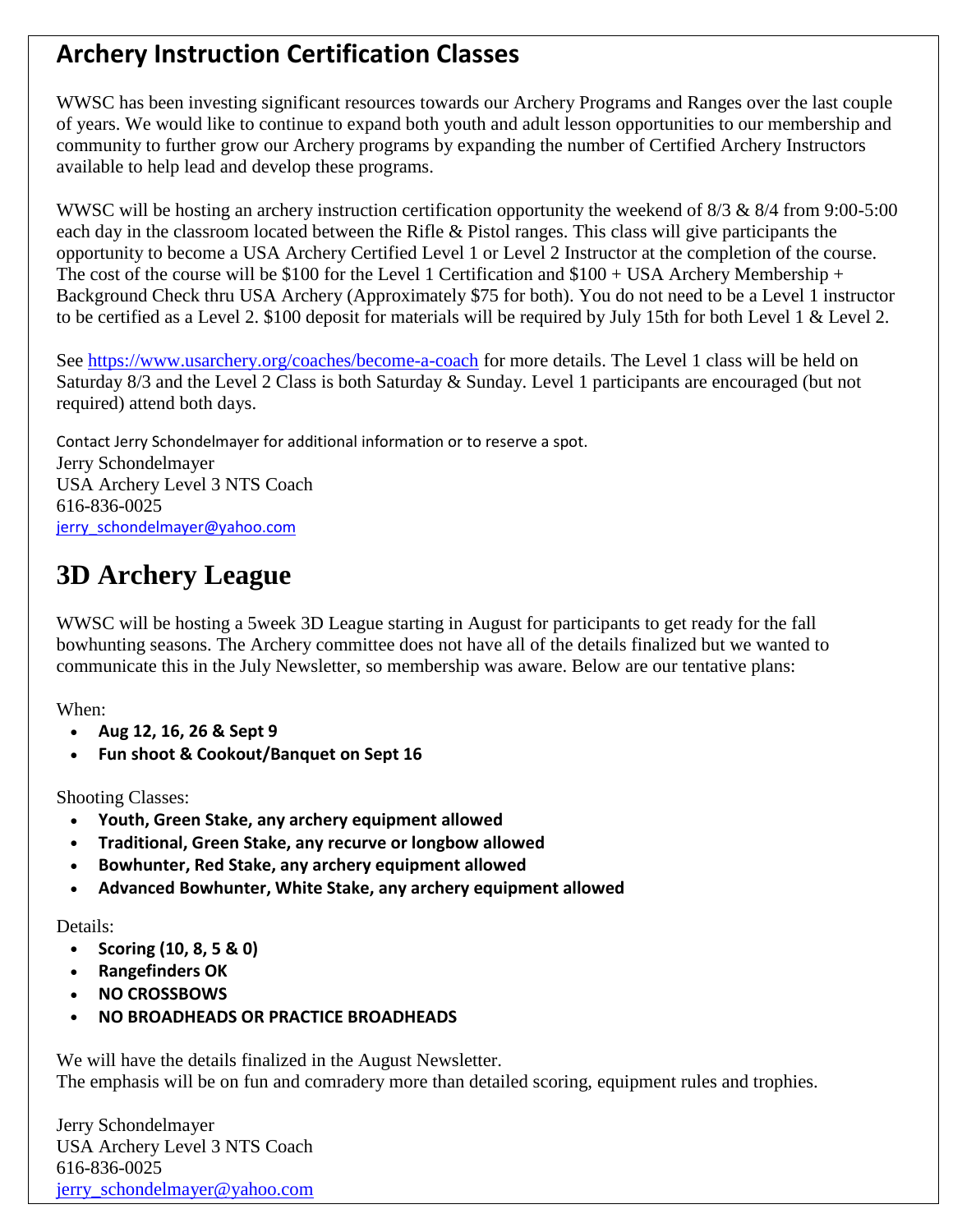### **Archery Instruction Certification Classes**

WWSC has been investing significant resources towards our Archery Programs and Ranges over the last couple of years. We would like to continue to expand both youth and adult lesson opportunities to our membership and community to further grow our Archery programs by expanding the number of Certified Archery Instructors available to help lead and develop these programs.

WWSC will be hosting an archery instruction certification opportunity the weekend of  $8/3 \& 8/4$  from 9:00-5:00 each day in the classroom located between the Rifle & Pistol ranges. This class will give participants the opportunity to become a USA Archery Certified Level 1 or Level 2 Instructor at the completion of the course. The cost of the course will be \$100 for the Level 1 Certification and  $$100 + USA$  Archery Membership + Background Check thru USA Archery (Approximately \$75 for both). You do not need to be a Level 1 instructor to be certified as a Level 2. \$100 deposit for materials will be required by July 15th for both Level 1 & Level 2.

See<https://www.usarchery.org/coaches/become-a-coach> for more details. The Level 1 class will be held on Saturday 8/3 and the Level 2 Class is both Saturday & Sunday. Level 1 participants are encouraged (but not required) attend both days.

Contact Jerry Schondelmayer for additional information or to reserve a spot. Jerry Schondelmayer USA Archery Level 3 NTS Coach 616-836-0025 [jerry\\_schondelmayer@yahoo.com](mailto:jerry_schondelmayer@yahoo.com)

### **3D Archery League**

WWSC will be hosting a 5week 3D League starting in August for participants to get ready for the fall bowhunting seasons. The Archery committee does not have all of the details finalized but we wanted to communicate this in the July Newsletter, so membership was aware. Below are our tentative plans:

When:

- **Aug 12, 16, 26 & Sept 9**
- **Fun shoot & Cookout/Banquet on Sept 16**

Shooting Classes:

- **Youth, Green Stake, any archery equipment allowed**
- **Traditional, Green Stake, any recurve or longbow allowed**
- **Bowhunter, Red Stake, any archery equipment allowed**
- **Advanced Bowhunter, White Stake, any archery equipment allowed**

Details:

- **Scoring (10, 8, 5 & 0)**
- **Rangefinders OK**
- **NO CROSSBOWS**
- **NO BROADHEADS OR PRACTICE BROADHEADS**

We will have the details finalized in the August Newsletter. The emphasis will be on fun and comradery more than detailed scoring, equipment rules and trophies.

Jerry Schondelmayer USA Archery Level 3 NTS Coach 616-836-0025 [jerry\\_schondelmayer@yahoo.com](mailto:jerry_schondelmayer@yahoo.com)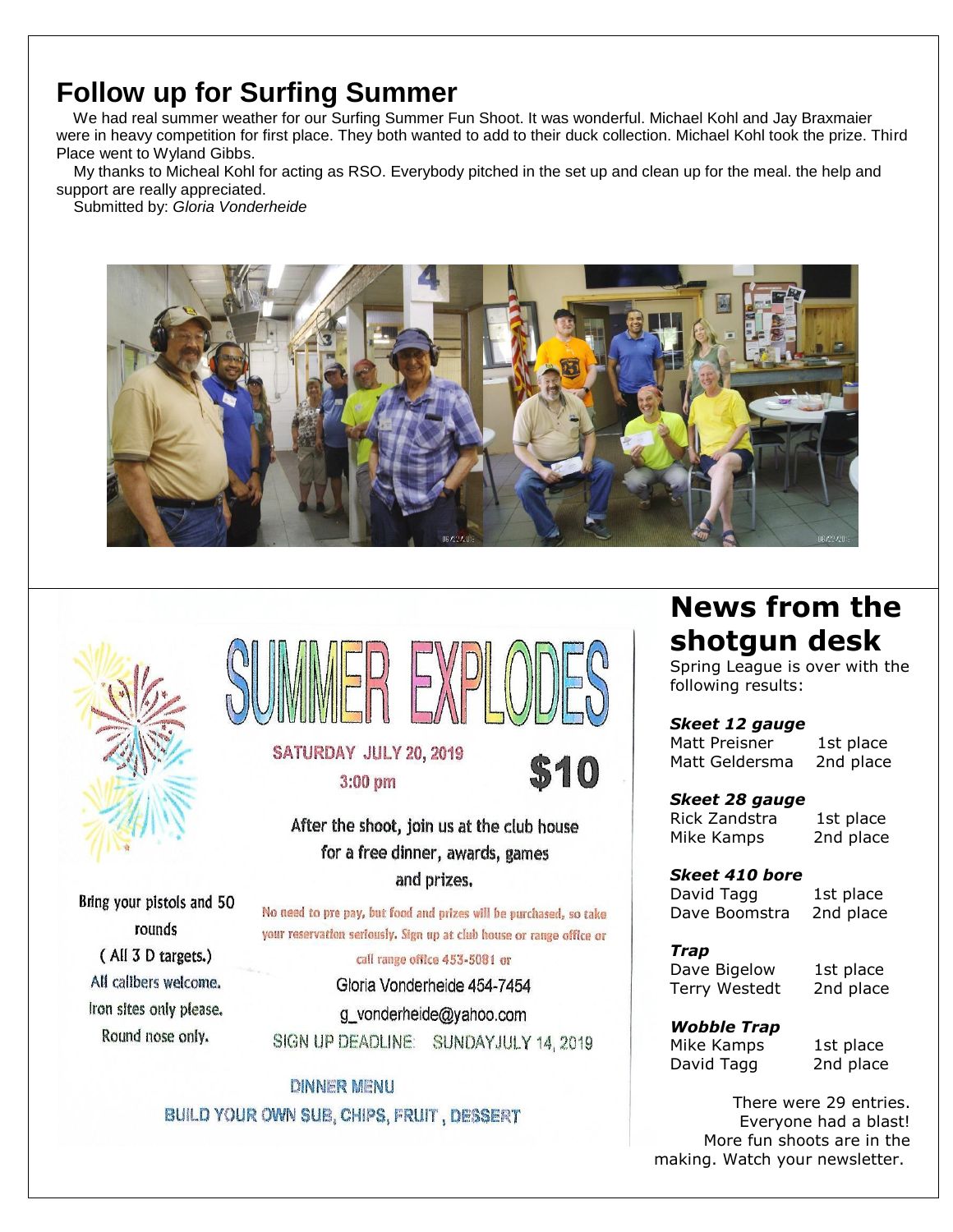### **Follow up for Surfing Summer**

We had real summer weather for our Surfing Summer Fun Shoot. It was wonderful. Michael Kohl and Jay Braxmaier were in heavy competition for first place. They both wanted to add to their duck collection. Michael Kohl took the prize. Third Place went to Wyland Gibbs.

My thanks to Micheal Kohl for acting as RSO. Everybody pitched in the set up and clean up for the meal. the help and support are really appreciated.

Submitted by: *Gloria Vonderheide*





Bring your pistols and 50

rounds

(All 3 D targets.)

All calibers welcome.

Iron sites only please.

Round nose only.



After the shoot, join us at the club house for a free dinner, awards, games and prizes.

No need to pre pay, but food and prizes will be purchased, so take your reservation seriously. Sign up at club house or range office or

call range office 453-5081 or Gloria Vonderheide 454-7454 g\_vonderheide@yahoo.com SIGN UP DEADLINE: SUNDAYJULY 14, 2019

**DINNER MENU** BUILD YOUR OWN SUB, CHIPS, FRUIT, DESSERT

### **News from the shotgun desk**

Spring League is over with the following results:

*Skeet 12 gauge* Matt Preisner 1st place Matt Geldersma 2nd place

*Skeet 28 gauge* Rick Zandstra 1st place

Mike Kamps 2nd place

*Skeet 410 bore* David Tagg 1st place Dave Boomstra 2nd place

*Trap* Dave Bigelow 1st place Terry Westedt 2nd place

*Wobble Trap* Mike Kamps 1st place David Tagg 2nd place

There were 29 entries. Everyone had a blast! More fun shoots are in the making. Watch your newsletter.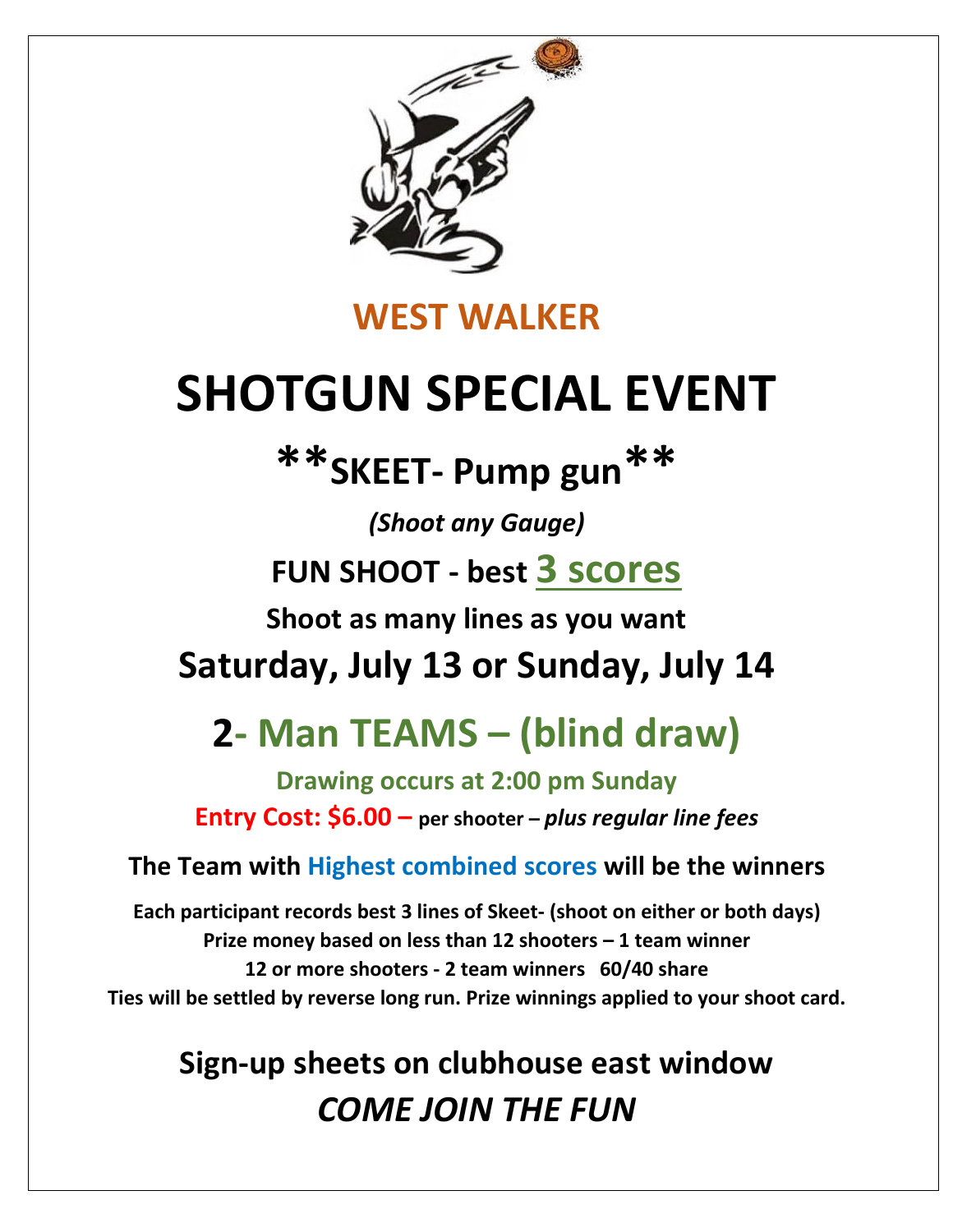

### **WEST WALKER**

# **SHOTGUN SPECIAL EVENT**

# **\*\*SKEET- Pump gun\*\***

*(Shoot any Gauge)*

**FUN SHOOT - best 3 scores**

**Shoot as many lines as you want**

**Saturday, July 13 or Sunday, July 14**

# **2- Man TEAMS – (blind draw)**

**Drawing occurs at 2:00 pm Sunday Entry Cost: \$6.00 – per shooter –** *plus regular line fees*

### **The Team with Highest combined scores will be the winners**

**Each participant records best 3 lines of Skeet- (shoot on either or both days) Prize money based on less than 12 shooters – 1 team winner 12 or more shooters - 2 team winners 60/40 share Ties will be settled by reverse long run. Prize winnings applied to your shoot card.**

# **Sign-up sheets on clubhouse east window** *COME JOIN THE FUN*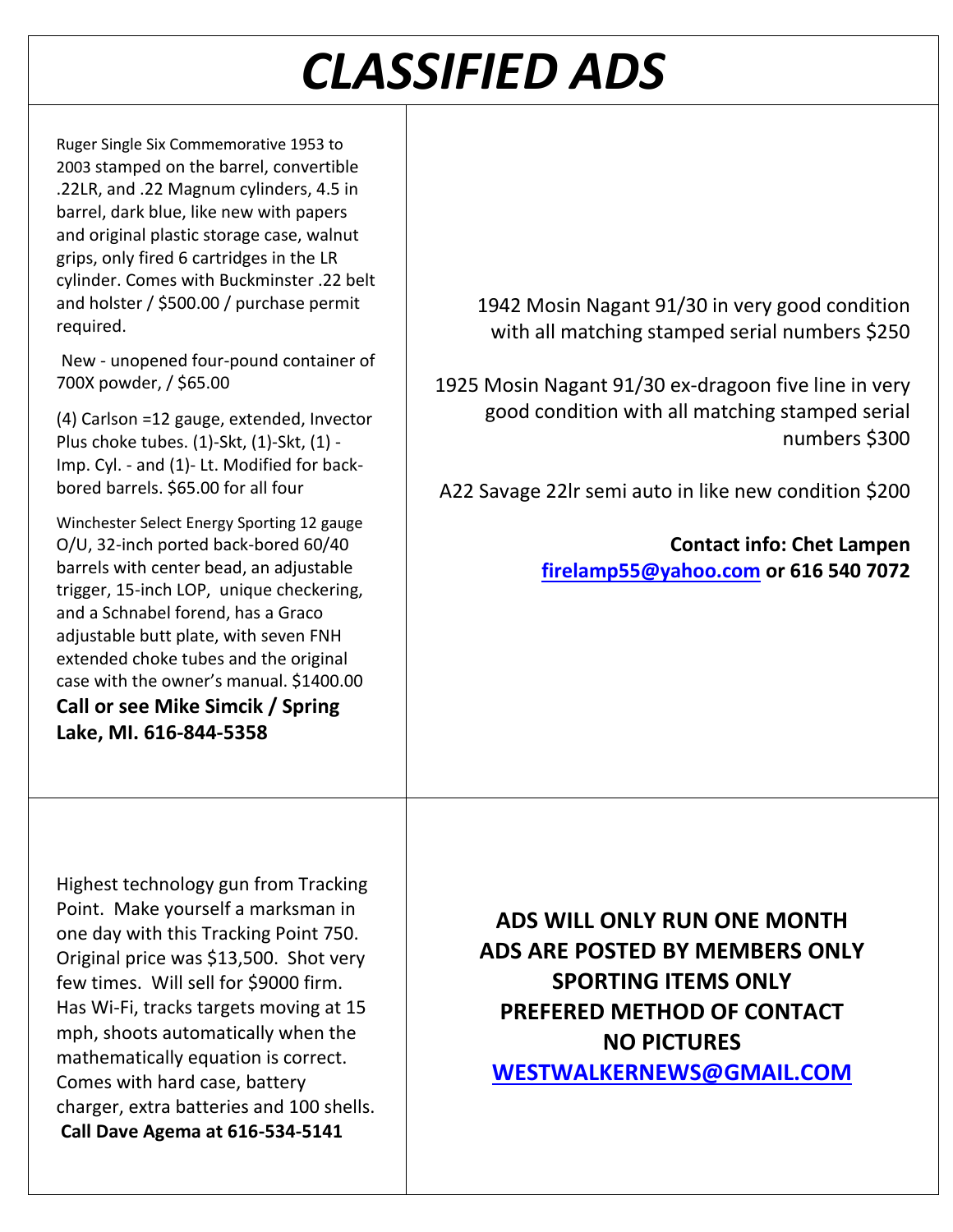# *CLASSIFIED ADS*

Ruger Single Six Commemorative 1953 to 2003 stamped on the barrel, convertible .22LR, and .22 Magnum cylinders, 4.5 in barrel, dark blue, like new with papers and original plastic storage case, walnut grips, only fired 6 cartridges in the LR cylinder. Comes with Buckminster .22 belt and holster / \$500.00 / purchase permit required.

New - unopened four-pound container of 700X powder, / \$65.00

(4) Carlson =12 gauge, extended, Invector Plus choke tubes. (1)-Skt, (1)-Skt, (1) - Imp. Cyl. - and (1)- Lt. Modified for backbored barrels. \$65.00 for all four

Winchester Select Energy Sporting 12 gauge O/U, 32-inch ported back-bored 60/40 barrels with center bead, an adjustable trigger, 15-inch LOP, unique checkering, and a Schnabel forend, has a Graco adjustable butt plate, with seven FNH extended choke tubes and the original case with the owner's manual. \$1400.00 **Call or see Mike Simcik / Spring Lake, MI. 616-844-5358**

1942 Mosin Nagant 91/30 in very good condition with all matching stamped serial numbers \$250

1925 Mosin Nagant 91/30 ex-dragoon five line in very good condition with all matching stamped serial numbers \$300

A22 Savage 22lr semi auto in like new condition \$200

**Contact info: Chet Lampen [firelamp55@yahoo.com](mailto:firelamp55@yahoo.com) or 616 540 7072**

Highest technology gun from Tracking Point. Make yourself a marksman in one day with this Tracking Point 750. Original price was \$13,500. Shot very few times. Will sell for \$9000 firm. Has Wi-Fi, tracks targets moving at 15 mph, shoots automatically when the mathematically equation is correct. Comes with hard case, battery charger, extra batteries and 100 shells. **Call Dave Agema at 616-534-5141**

**ADS WILL ONLY RUN ONE MONTH ADS ARE POSTED BY MEMBERS ONLY SPORTING ITEMS ONLY PREFERED METHOD OF CONTACT NO PICTURES [WESTWALKERNEWS@GMAIL.COM](mailto:WESTWALKERNEWS@GMAIL.COM)**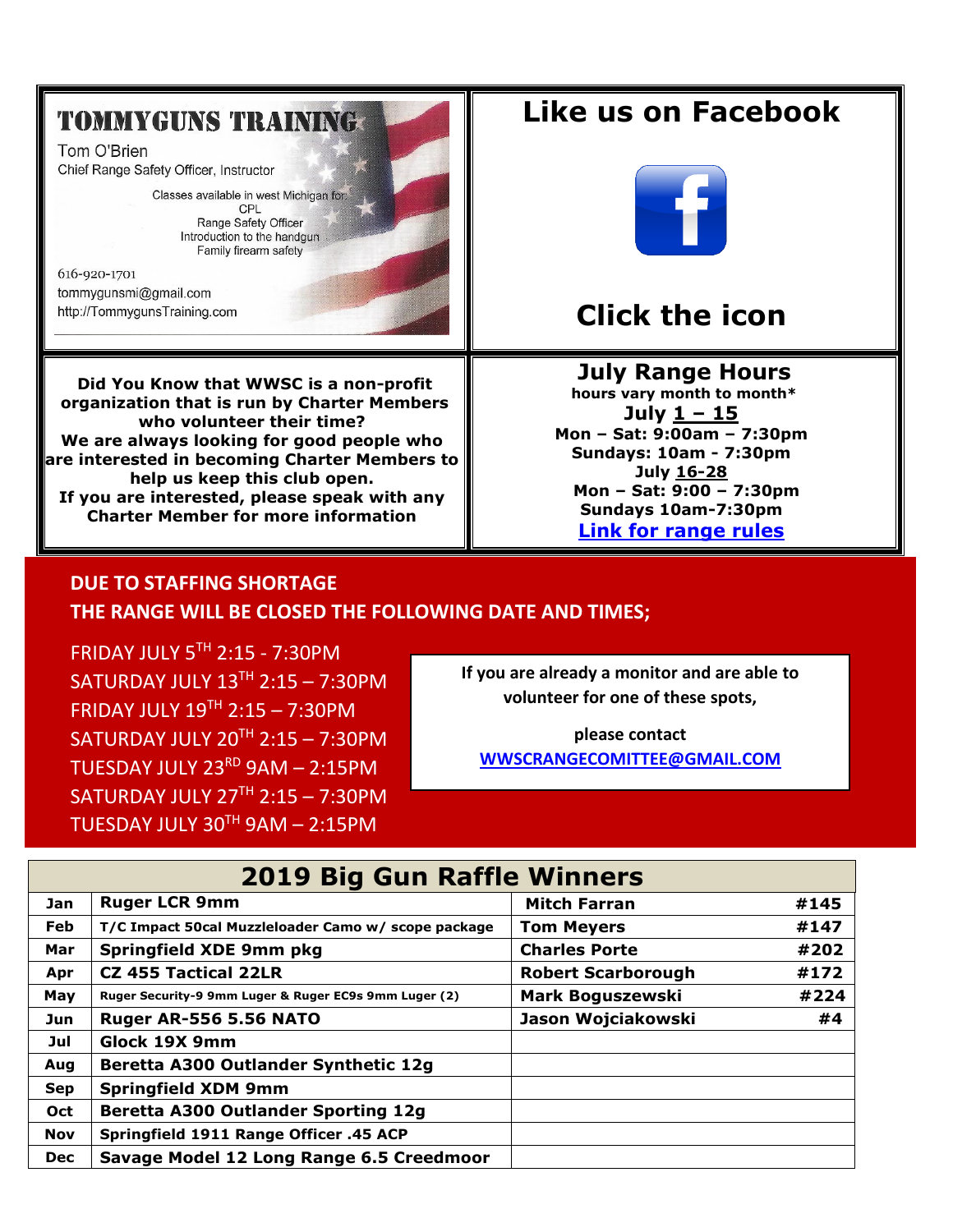### **TOMMYGUNS TRAINING:**

Tom O'Brien Chief Range Safety Officer, Instructor

> Classes available in west Michigan for: CPL Range Safety Officer Introduction to the handgun Family firearm safety

616-920-1701 tommygunsmi@gmail.com http://TommygunsTraining.com

**Did You Know that WWSC is a non-profit organization that is run by Charter Members who volunteer their time? We are always looking for good people who are interested in becoming Charter Members to help us keep this club open. If you are interested, please speak with any Charter Member for more information**

### **Like us on Facebook**



### **Click the icon**

#### **July [Ra](https://creativecommons.org/licenses/by-sa/3.0/)nge Hours**

**hours vary month to month\* July 1 – 15 Mon – Sat: 9:00am – 7:30pm Sundays: 10am - 7:30pm July 16-28 Mon – Sat: 9:00 – 7:30pm Sundays 10am-7:30pm [Link for range rules](http://www.wwsc.org/img/ranges/RangeRules.pdf)**

#### **DUE TO STAFFING SHORTAGE THE RANGE WILL BE CLOSED THE FOLLOWING DATE AND TIMES;**

FRIDAY JULY  $5^{TH}$  2:15 - 7:30PM SATURDAY JULY  $13<sup>TH</sup> 2:15 - 7:30PM$ FRIDAY JULY  $19<sup>TH</sup> 2:15 - 7:30PM$ SATURDAY JULY  $20^{TH}$  2:15 – 7:30PM TUESDAY JULY  $23^{RD}$  9AM - 2:15PM SATURDAY JULY  $27<sup>TH</sup> 2:15 - 7:30PM$ TUESDAY JULY  $30^{TH}$  9AM - 2:15PM

**If you are already a monitor and are able to volunteer for one of these spots,** 

**please contact [WWSCRANGECOMITTEE@GMAIL.COM](mailto:WWSCRANGECOMITTEE@GMAIL.COM)**

| <b>2019 Big Gun Raffle Winners</b> |                                                       |                           |      |  |  |  |  |
|------------------------------------|-------------------------------------------------------|---------------------------|------|--|--|--|--|
| Jan                                | <b>Ruger LCR 9mm</b>                                  | <b>Mitch Farran</b>       | #145 |  |  |  |  |
| <b>Feb</b>                         | T/C Impact 50cal Muzzleloader Camo w/ scope package   | <b>Tom Meyers</b>         | #147 |  |  |  |  |
| Mar                                | <b>Springfield XDE 9mm pkg</b>                        | <b>Charles Porte</b>      | #202 |  |  |  |  |
| Apr                                | <b>CZ 455 Tactical 22LR</b>                           | <b>Robert Scarborough</b> | #172 |  |  |  |  |
| May                                | Ruger Security-9 9mm Luger & Ruger EC9s 9mm Luger (2) | <b>Mark Boguszewski</b>   | #224 |  |  |  |  |
| Jun                                | <b>Ruger AR-556 5.56 NATO</b>                         | Jason Wojciakowski        | #4   |  |  |  |  |
| Jul                                | Glock 19X 9mm                                         |                           |      |  |  |  |  |
| Aug                                | Beretta A300 Outlander Synthetic 12g                  |                           |      |  |  |  |  |
| <b>Sep</b>                         | <b>Springfield XDM 9mm</b>                            |                           |      |  |  |  |  |
| Oct                                | <b>Beretta A300 Outlander Sporting 12g</b>            |                           |      |  |  |  |  |
| <b>Nov</b>                         | Springfield 1911 Range Officer .45 ACP                |                           |      |  |  |  |  |
| <b>Dec</b>                         | Savage Model 12 Long Range 6.5 Creedmoor              |                           |      |  |  |  |  |